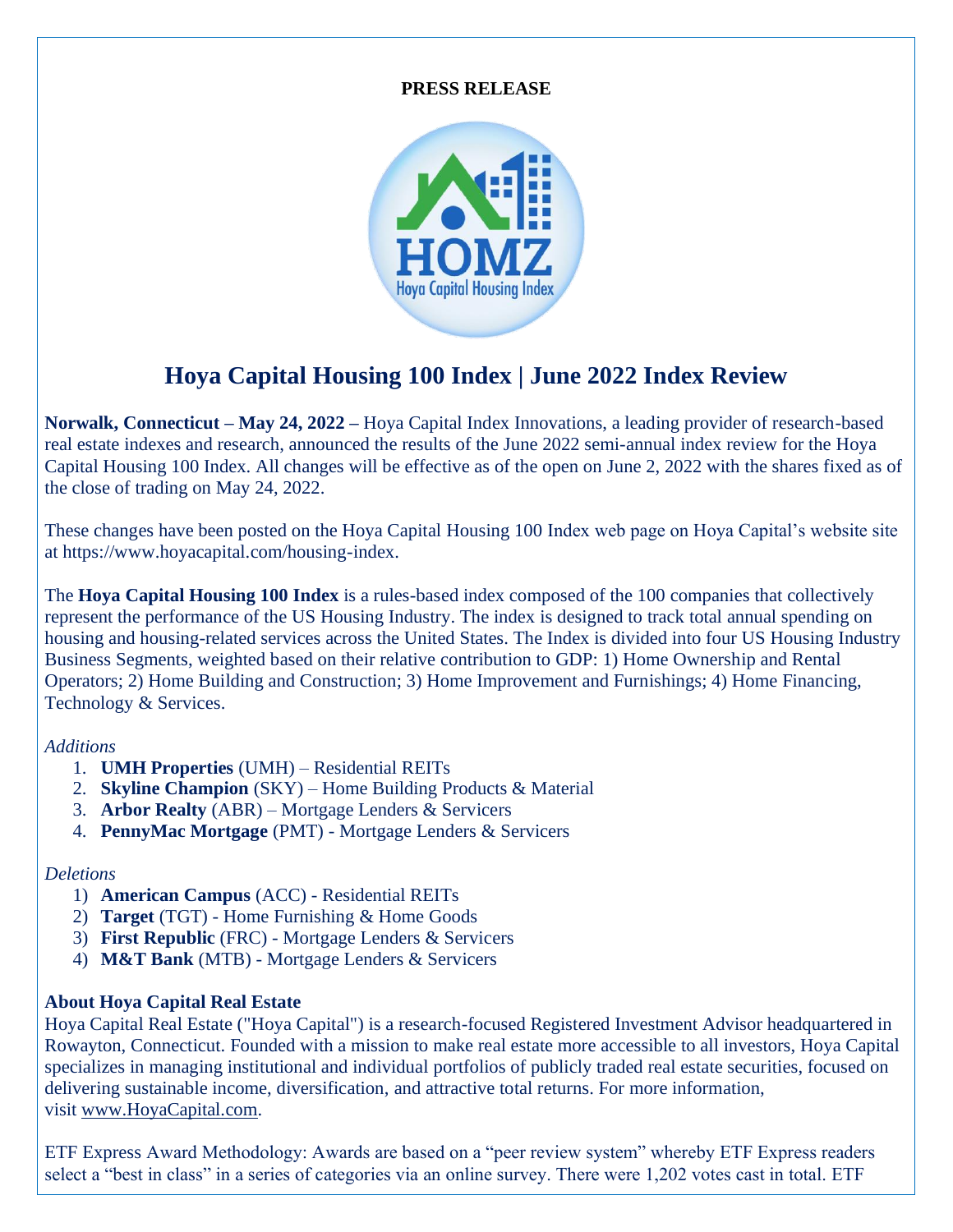#### **PRESS RELEASE**



# **Hoya Capital Housing 100 Index | June 2022 Index Review**

**Norwalk, Connecticut – May 24, 2022 –** Hoya Capital Index Innovations, a leading provider of research-based real estate indexes and research, announced the results of the June 2022 semi-annual index review for the Hoya Capital Housing 100 Index. All changes will be effective as of the open on June 2, 2022 with the shares fixed as of the close of trading on May 24, 2022.

These changes have been posted on the Hoya Capital Housing 100 Index web page on Hoya Capital's website site at https://www.hoyacapital.com/housing-index.

The **Hoya Capital Housing 100 Index** is a rules-based index composed of the 100 companies that collectively represent the performance of the US Housing Industry. The index is designed to track total annual spending on housing and housing-related services across the United States. The Index is divided into four US Housing Industry Business Segments, weighted based on their relative contribution to GDP: 1) Home Ownership and Rental Operators; 2) Home Building and Construction; 3) Home Improvement and Furnishings; 4) Home Financing, Technology & Services.

### *Additions*

- 1. **UMH Properties** (UMH) Residential REITs
- 2. **Skyline Champion** (SKY) Home Building Products & Material
- 3. **Arbor Realty** (ABR) Mortgage Lenders & Servicers
- 4. **PennyMac Mortgage** (PMT) Mortgage Lenders & Servicers

### *Deletions*

- 1) **American Campus** (ACC) Residential REITs
- 2) **Target** (TGT) Home Furnishing & Home Goods
- 3) **First Republic** (FRC) Mortgage Lenders & Servicers
- 4) **M&T Bank** (MTB) Mortgage Lenders & Servicers

## **About Hoya Capital Real Estate**

Hoya Capital Real Estate ("Hoya Capital") is a research-focused Registered Investment Advisor headquartered in Rowayton, Connecticut. Founded with a mission to make real estate more accessible to all investors, Hoya Capital specializes in managing institutional and individual portfolios of publicly traded real estate securities, focused on delivering sustainable income, diversification, and attractive total returns. For more information, visit [www.HoyaCapital.com.](http://www.hoyacapital.com/)

ETF Express Award Methodology: Awards are based on a "peer review system" whereby ETF Express readers select a "best in class" in a series of categories via an online survey. There were 1,202 votes cast in total. ETF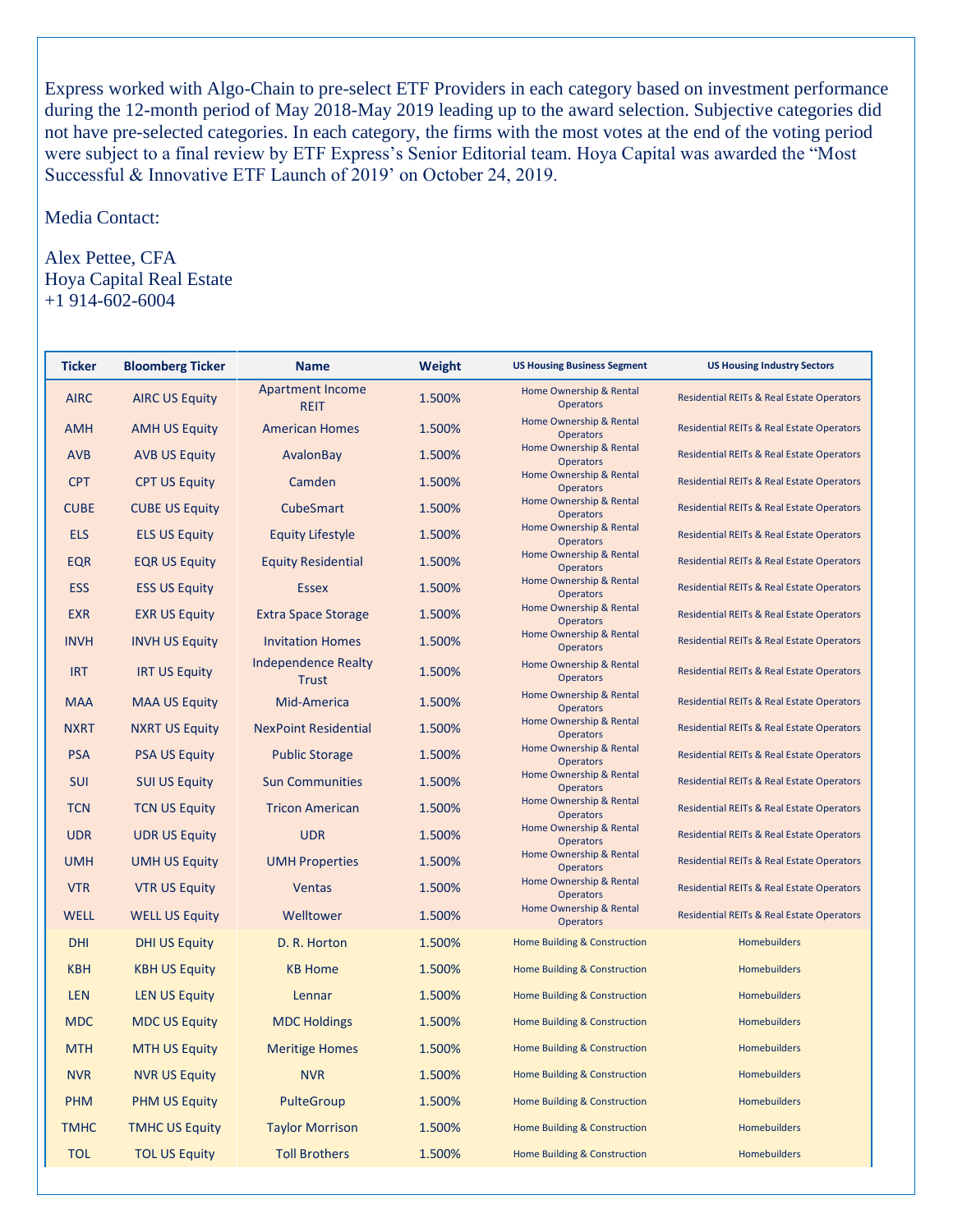Express worked with Algo-Chain to pre-select ETF Providers in each category based on investment performance during the 12-month period of May 2018-May 2019 leading up to the award selection. Subjective categories did not have pre-selected categories. In each category, the firms with the most votes at the end of the voting period were subject to a final review by ETF Express's Senior Editorial team. Hoya Capital was awarded the "Most Successful & Innovative ETF Launch of 2019' on October 24, 2019.

Media Contact:

Alex Pettee, CFA Hoya Capital Real Estate +1 914-602-6004

| <b>Ticker</b> | <b>Bloomberg Ticker</b> | <b>Name</b>                                | <b>Weight</b> | <b>US Housing Business Segment</b>          | <b>US Housing Industry Sectors</b>                   |
|---------------|-------------------------|--------------------------------------------|---------------|---------------------------------------------|------------------------------------------------------|
| <b>AIRC</b>   | <b>AIRC US Equity</b>   | <b>Apartment Income</b><br><b>REIT</b>     | 1.500%        | Home Ownership & Rental<br><b>Operators</b> | <b>Residential REITs &amp; Real Estate Operators</b> |
| <b>AMH</b>    | <b>AMH US Equity</b>    | <b>American Homes</b>                      | 1.500%        | Home Ownership & Rental<br><b>Operators</b> | <b>Residential REITs &amp; Real Estate Operators</b> |
| <b>AVB</b>    | <b>AVB US Equity</b>    | AvalonBay                                  | 1.500%        | Home Ownership & Rental<br><b>Operators</b> | <b>Residential REITs &amp; Real Estate Operators</b> |
| <b>CPT</b>    | <b>CPT US Equity</b>    | Camden                                     | 1.500%        | Home Ownership & Rental<br><b>Operators</b> | <b>Residential REITs &amp; Real Estate Operators</b> |
| <b>CUBE</b>   | <b>CUBE US Equity</b>   | CubeSmart                                  | 1.500%        | Home Ownership & Rental<br><b>Operators</b> | <b>Residential REITs &amp; Real Estate Operators</b> |
| <b>ELS</b>    | <b>ELS US Equity</b>    | <b>Equity Lifestyle</b>                    | 1.500%        | Home Ownership & Rental<br><b>Operators</b> | <b>Residential REITs &amp; Real Estate Operators</b> |
| <b>EQR</b>    | <b>EQR US Equity</b>    | <b>Equity Residential</b>                  | 1.500%        | Home Ownership & Rental<br><b>Operators</b> | <b>Residential REITs &amp; Real Estate Operators</b> |
| <b>ESS</b>    | <b>ESS US Equity</b>    | <b>Essex</b>                               | 1.500%        | Home Ownership & Rental<br><b>Operators</b> | <b>Residential REITs &amp; Real Estate Operators</b> |
| <b>EXR</b>    | <b>EXR US Equity</b>    | <b>Extra Space Storage</b>                 | 1.500%        | Home Ownership & Rental<br><b>Operators</b> | <b>Residential REITs &amp; Real Estate Operators</b> |
| <b>INVH</b>   | <b>INVH US Equity</b>   | <b>Invitation Homes</b>                    | 1.500%        | Home Ownership & Rental<br><b>Operators</b> | <b>Residential REITs &amp; Real Estate Operators</b> |
| <b>IRT</b>    | <b>IRT US Equity</b>    | <b>Independence Realty</b><br><b>Trust</b> | 1.500%        | Home Ownership & Rental<br><b>Operators</b> | <b>Residential REITs &amp; Real Estate Operators</b> |
| <b>MAA</b>    | <b>MAA US Equity</b>    | Mid-America                                | 1.500%        | Home Ownership & Rental<br><b>Operators</b> | <b>Residential REITs &amp; Real Estate Operators</b> |
| <b>NXRT</b>   | <b>NXRT US Equity</b>   | <b>NexPoint Residential</b>                | 1.500%        | Home Ownership & Rental<br><b>Operators</b> | <b>Residential REITs &amp; Real Estate Operators</b> |
| <b>PSA</b>    | <b>PSA US Equity</b>    | <b>Public Storage</b>                      | 1.500%        | Home Ownership & Rental<br><b>Operators</b> | <b>Residential REITs &amp; Real Estate Operators</b> |
| SUI           | <b>SUI US Equity</b>    | <b>Sun Communities</b>                     | 1.500%        | Home Ownership & Rental<br><b>Operators</b> | <b>Residential REITs &amp; Real Estate Operators</b> |
| <b>TCN</b>    | <b>TCN US Equity</b>    | <b>Tricon American</b>                     | 1.500%        | Home Ownership & Rental<br><b>Operators</b> | <b>Residential REITs &amp; Real Estate Operators</b> |
| <b>UDR</b>    | <b>UDR US Equity</b>    | <b>UDR</b>                                 | 1.500%        | Home Ownership & Rental<br><b>Operators</b> | <b>Residential REITs &amp; Real Estate Operators</b> |
| <b>UMH</b>    | <b>UMH US Equity</b>    | <b>UMH Properties</b>                      | 1.500%        | Home Ownership & Rental<br><b>Operators</b> | <b>Residential REITs &amp; Real Estate Operators</b> |
| <b>VTR</b>    | <b>VTR US Equity</b>    | <b>Ventas</b>                              | 1.500%        | Home Ownership & Rental<br><b>Operators</b> | <b>Residential REITs &amp; Real Estate Operators</b> |
| <b>WELL</b>   | <b>WELL US Equity</b>   | Welltower                                  | 1.500%        | Home Ownership & Rental<br><b>Operators</b> | <b>Residential REITs &amp; Real Estate Operators</b> |
| <b>DHI</b>    | <b>DHI US Equity</b>    | D. R. Horton                               | 1.500%        | Home Building & Construction                | Homebuilders                                         |
| <b>KBH</b>    | <b>KBH US Equity</b>    | <b>KB Home</b>                             | 1.500%        | Home Building & Construction                | <b>Homebuilders</b>                                  |
| <b>LEN</b>    | <b>LEN US Equity</b>    | Lennar                                     | 1.500%        | Home Building & Construction                | Homebuilders                                         |
| MDC           | <b>MDC US Equity</b>    | <b>MDC Holdings</b>                        | 1.500%        | Home Building & Construction                | Homebuilders                                         |
| <b>MTH</b>    | <b>MTH US Equity</b>    | <b>Meritige Homes</b>                      | 1.500%        | Home Building & Construction                | Homebuilders                                         |
| <b>NVR</b>    | <b>NVR US Equity</b>    | <b>NVR</b>                                 | 1.500%        | Home Building & Construction                | <b>Homebuilders</b>                                  |
| <b>PHM</b>    | <b>PHM US Equity</b>    | PulteGroup                                 | 1.500%        | Home Building & Construction                | <b>Homebuilders</b>                                  |
| <b>TMHC</b>   | <b>TMHC US Equity</b>   | <b>Taylor Morrison</b>                     | 1.500%        | Home Building & Construction                | <b>Homebuilders</b>                                  |
| <b>TOL</b>    | <b>TOL US Equity</b>    | <b>Toll Brothers</b>                       | 1.500%        | Home Building & Construction                | <b>Homebuilders</b>                                  |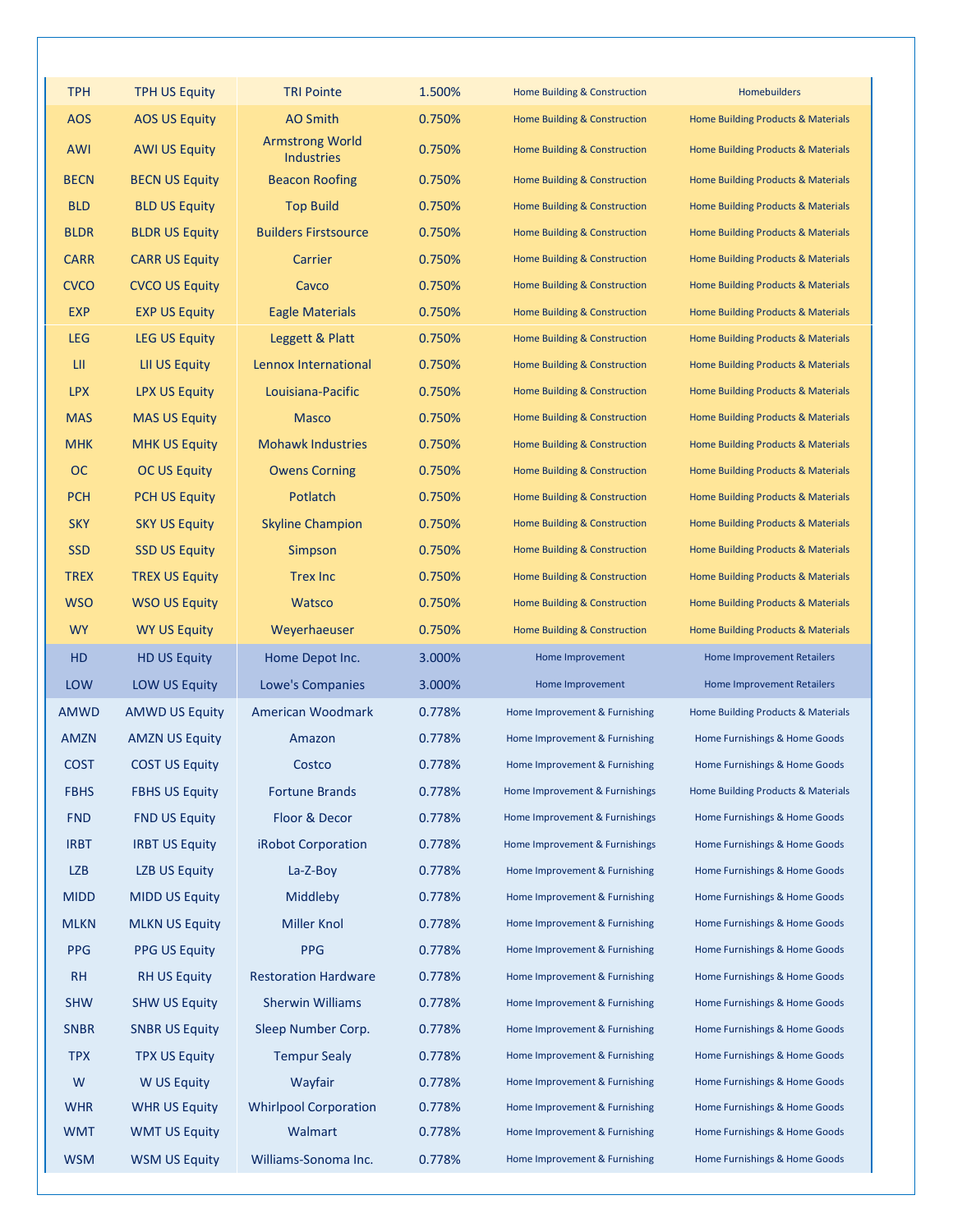| <b>TPH</b>  | <b>TPH US Equity</b>  | <b>TRI Pointe</b>                           | 1.500% | Home Building & Construction   | Homebuilders                                  |
|-------------|-----------------------|---------------------------------------------|--------|--------------------------------|-----------------------------------------------|
| <b>AOS</b>  | <b>AOS US Equity</b>  | AO Smith                                    | 0.750% | Home Building & Construction   | <b>Home Building Products &amp; Materials</b> |
| AWI         | <b>AWI US Equity</b>  | <b>Armstrong World</b><br><b>Industries</b> | 0.750% | Home Building & Construction   | Home Building Products & Materials            |
| <b>BECN</b> | <b>BECN US Equity</b> | <b>Beacon Roofing</b>                       | 0.750% | Home Building & Construction   | Home Building Products & Materials            |
| <b>BLD</b>  | <b>BLD US Equity</b>  | <b>Top Build</b>                            | 0.750% | Home Building & Construction   | Home Building Products & Materials            |
| <b>BLDR</b> | <b>BLDR US Equity</b> | <b>Builders Firstsource</b>                 | 0.750% | Home Building & Construction   | Home Building Products & Materials            |
| <b>CARR</b> | <b>CARR US Equity</b> | Carrier                                     | 0.750% | Home Building & Construction   | Home Building Products & Materials            |
| <b>CVCO</b> | <b>CVCO US Equity</b> | Cavco                                       | 0.750% | Home Building & Construction   | Home Building Products & Materials            |
| <b>EXP</b>  | <b>EXP US Equity</b>  | <b>Eagle Materials</b>                      | 0.750% | Home Building & Construction   | Home Building Products & Materials            |
| <b>LEG</b>  | <b>LEG US Equity</b>  | Leggett & Platt                             | 0.750% | Home Building & Construction   | Home Building Products & Materials            |
| LII.        | <b>LII US Equity</b>  | Lennox International                        | 0.750% | Home Building & Construction   | Home Building Products & Materials            |
| <b>LPX</b>  | <b>LPX US Equity</b>  | Louisiana-Pacific                           | 0.750% | Home Building & Construction   | Home Building Products & Materials            |
| <b>MAS</b>  | <b>MAS US Equity</b>  | <b>Masco</b>                                | 0.750% | Home Building & Construction   | Home Building Products & Materials            |
| <b>MHK</b>  | <b>MHK US Equity</b>  | <b>Mohawk Industries</b>                    | 0.750% | Home Building & Construction   | <b>Home Building Products &amp; Materials</b> |
| OC          | <b>OC US Equity</b>   | <b>Owens Corning</b>                        | 0.750% | Home Building & Construction   | Home Building Products & Materials            |
| <b>PCH</b>  | <b>PCH US Equity</b>  | Potlatch                                    | 0.750% | Home Building & Construction   | <b>Home Building Products &amp; Materials</b> |
| <b>SKY</b>  | <b>SKY US Equity</b>  | <b>Skyline Champion</b>                     | 0.750% | Home Building & Construction   | <b>Home Building Products &amp; Materials</b> |
| <b>SSD</b>  | <b>SSD US Equity</b>  | Simpson                                     | 0.750% | Home Building & Construction   | Home Building Products & Materials            |
| <b>TREX</b> | <b>TREX US Equity</b> | <b>Trex Inc</b>                             | 0.750% | Home Building & Construction   | Home Building Products & Materials            |
| <b>WSO</b>  | <b>WSO US Equity</b>  | Watsco                                      | 0.750% | Home Building & Construction   | Home Building Products & Materials            |
| <b>WY</b>   | <b>WY US Equity</b>   | Weyerhaeuser                                | 0.750% | Home Building & Construction   | Home Building Products & Materials            |
|             |                       |                                             |        |                                |                                               |
| HD          | <b>HD US Equity</b>   | Home Depot Inc.                             | 3.000% | Home Improvement               | <b>Home Improvement Retailers</b>             |
| <b>LOW</b>  | <b>LOW US Equity</b>  | <b>Lowe's Companies</b>                     | 3.000% | Home Improvement               | <b>Home Improvement Retailers</b>             |
| <b>AMWD</b> | <b>AMWD US Equity</b> | American Woodmark                           | 0.778% | Home Improvement & Furnishing  | Home Building Products & Materials            |
| <b>AMZN</b> | <b>AMZN US Equity</b> | Amazon                                      | 0.778% | Home Improvement & Furnishing  | Home Furnishings & Home Goods                 |
| <b>COST</b> | <b>COST US Equity</b> | Costco                                      | 0.778% | Home Improvement & Furnishing  | Home Furnishings & Home Goods                 |
| <b>FBHS</b> | <b>FBHS US Equity</b> | <b>Fortune Brands</b>                       | 0.778% | Home Improvement & Furnishings | Home Building Products & Materials            |
| <b>FND</b>  | <b>FND US Equity</b>  | Floor & Decor                               | 0.778% | Home Improvement & Furnishings | Home Furnishings & Home Goods                 |
| <b>IRBT</b> | <b>IRBT US Equity</b> | <b>iRobot Corporation</b>                   | 0.778% | Home Improvement & Furnishings | Home Furnishings & Home Goods                 |
| <b>LZB</b>  | <b>LZB US Equity</b>  | $La-Z-Boy$                                  | 0.778% | Home Improvement & Furnishing  | Home Furnishings & Home Goods                 |
| <b>MIDD</b> | <b>MIDD US Equity</b> | Middleby                                    | 0.778% | Home Improvement & Furnishing  | Home Furnishings & Home Goods                 |
| <b>MLKN</b> | <b>MLKN US Equity</b> | <b>Miller Knol</b>                          | 0.778% | Home Improvement & Furnishing  | Home Furnishings & Home Goods                 |
| <b>PPG</b>  | <b>PPG US Equity</b>  | <b>PPG</b>                                  | 0.778% | Home Improvement & Furnishing  | Home Furnishings & Home Goods                 |
| <b>RH</b>   | <b>RH US Equity</b>   | <b>Restoration Hardware</b>                 | 0.778% | Home Improvement & Furnishing  | Home Furnishings & Home Goods                 |
| <b>SHW</b>  | <b>SHW US Equity</b>  | <b>Sherwin Williams</b>                     | 0.778% | Home Improvement & Furnishing  | Home Furnishings & Home Goods                 |
| <b>SNBR</b> | <b>SNBR US Equity</b> | Sleep Number Corp.                          | 0.778% | Home Improvement & Furnishing  | Home Furnishings & Home Goods                 |
| <b>TPX</b>  | <b>TPX US Equity</b>  | <b>Tempur Sealy</b>                         | 0.778% | Home Improvement & Furnishing  | Home Furnishings & Home Goods                 |
| W           | W US Equity           | Wayfair                                     | 0.778% | Home Improvement & Furnishing  | Home Furnishings & Home Goods                 |
| <b>WHR</b>  | <b>WHR US Equity</b>  | <b>Whirlpool Corporation</b>                | 0.778% | Home Improvement & Furnishing  | Home Furnishings & Home Goods                 |
| <b>WMT</b>  | <b>WMT US Equity</b>  | Walmart                                     | 0.778% | Home Improvement & Furnishing  | Home Furnishings & Home Goods                 |